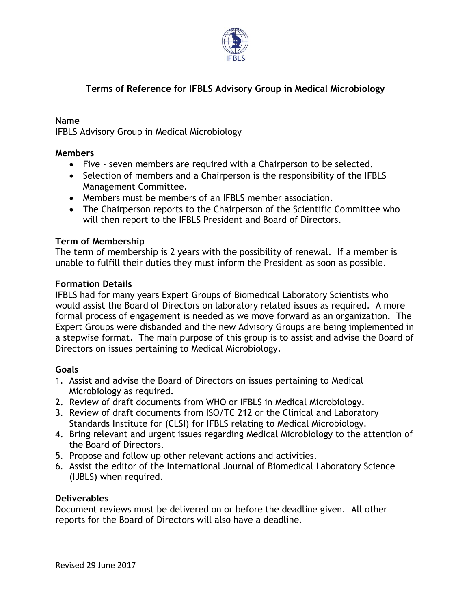

# **Terms of Reference for IFBLS Advisory Group in Medical Microbiology**

#### **Name**

IFBLS Advisory Group in Medical Microbiology

#### **Members**

- Five seven members are required with a Chairperson to be selected.
- Selection of members and a Chairperson is the responsibility of the IFBLS Management Committee.
- Members must be members of an IFBLS member association.
- The Chairperson reports to the Chairperson of the Scientific Committee who will then report to the IFBLS President and Board of Directors.

## **Term of Membership**

The term of membership is 2 years with the possibility of renewal. If a member is unable to fulfill their duties they must inform the President as soon as possible.

## **Formation Details**

IFBLS had for many years Expert Groups of Biomedical Laboratory Scientists who would assist the Board of Directors on laboratory related issues as required. A more formal process of engagement is needed as we move forward as an organization. The Expert Groups were disbanded and the new Advisory Groups are being implemented in a stepwise format. The main purpose of this group is to assist and advise the Board of Directors on issues pertaining to Medical Microbiology.

#### **Goals**

- 1. Assist and advise the Board of Directors on issues pertaining to Medical Microbiology as required.
- 2. Review of draft documents from WHO or IFBLS in Medical Microbiology.
- 3. Review of draft documents from ISO/TC 212 or the Clinical and Laboratory Standards Institute for (CLSI) for IFBLS relating to Medical Microbiology.
- 4. Bring relevant and urgent issues regarding Medical Microbiology to the attention of the Board of Directors.
- 5. Propose and follow up other relevant actions and activities.
- 6. Assist the editor of the International Journal of Biomedical Laboratory Science (IJBLS) when required.

#### **Deliverables**

Document reviews must be delivered on or before the deadline given. All other reports for the Board of Directors will also have a deadline.